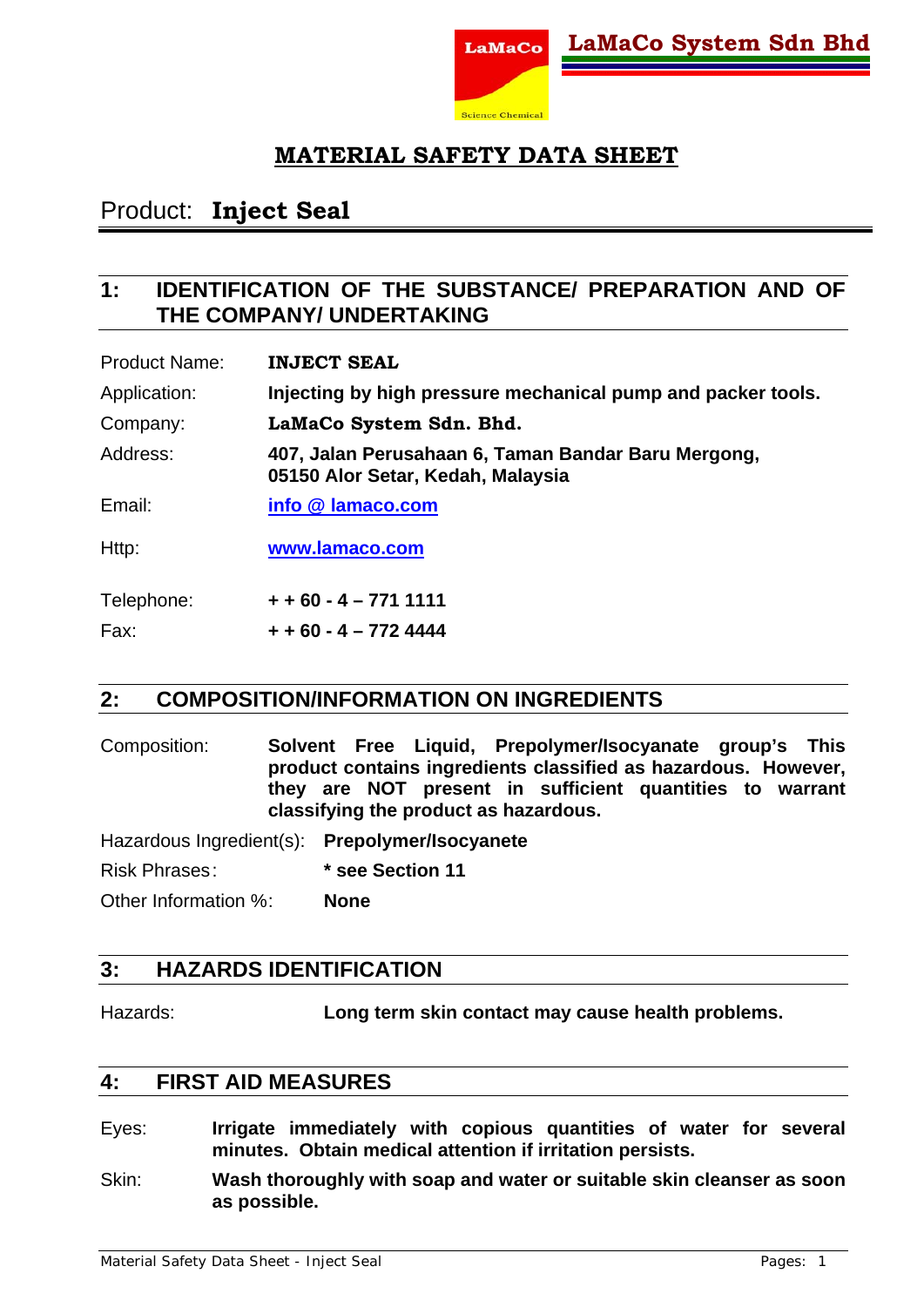

# Product: **Inject Seal**

### **1: IDENTIFICATION OF THE SUBSTANCE/ PREPARATION AND OF THE COMPANY/ UNDERTAKING**

| <b>Product Name:</b> | <b>INJECT SEAL</b>                                                                       |
|----------------------|------------------------------------------------------------------------------------------|
| Application:         | Injecting by high pressure mechanical pump and packer tools.                             |
| Company:             | LaMaCo System Sdn. Bhd.                                                                  |
| Address:             | 407, Jalan Perusahaan 6, Taman Bandar Baru Mergong,<br>05150 Alor Setar, Kedah, Malaysia |
| Email:               | info @ lamaco.com                                                                        |
| Http:                | www.lamaco.com                                                                           |
| Telephone:           | $+ + 60 - 4 - 7711111$                                                                   |

# **2: COMPOSITION/INFORMATION ON INGREDIENTS**

Composition: **Solvent Free Liquid, Prepolymer/Isocyanate group's This product contains ingredients classified as hazardous. However, they are NOT present in sufficient quantities to warrant classifying the product as hazardous.** 

Hazardous Ingredient(s): **Prepolymer/Isocyanete** Risk Phrases : **\* see Section 11** Other Information % : **None** 

### **3: HAZARDS IDENTIFICATION**

Fax: **+ + 60 - 4 – 772 4444**

Hazards: **Long term skin contact may cause health problems.** 

#### **4: FIRST AID MEASURES**

- Eyes: **Irrigate immediately with copious quantities of water for several minutes. Obtain medical attention if irritation persists.**
- Skin: **Wash thoroughly with soap and water or suitable skin cleanser as soon as possible.**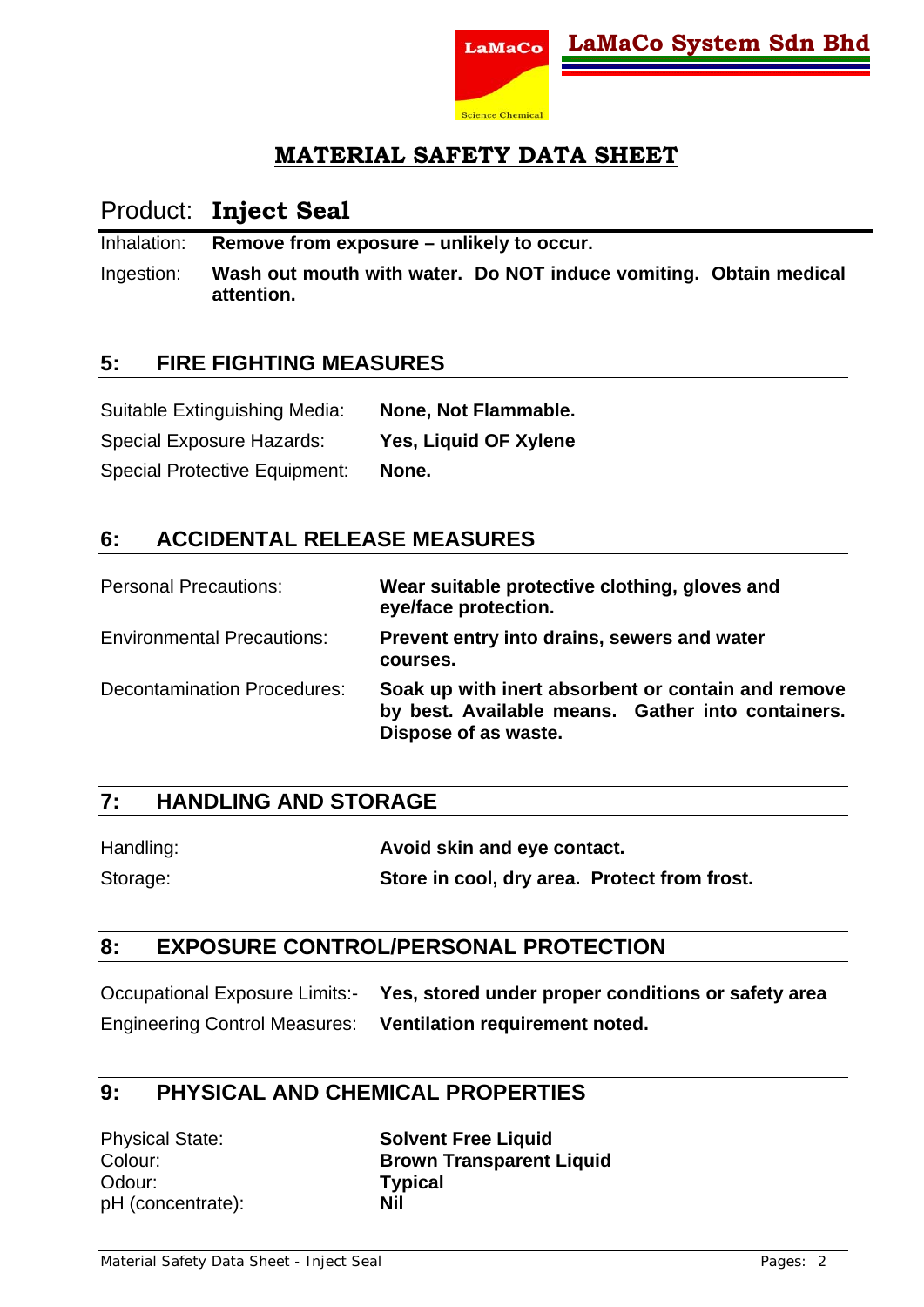

### Product: **Inject Seal**

Inhalation: **Remove from exposure – unlikely to occur.** 

Ingestion: **Wash out mouth with water. Do NOT induce vomiting. Obtain medical attention.** 

#### **5: FIRE FIGHTING MEASURES**

| Suitable Extinguishing Media:        | None, Not Flammable.  |
|--------------------------------------|-----------------------|
| <b>Special Exposure Hazards:</b>     | Yes, Liquid OF Xylene |
| <b>Special Protective Equipment:</b> | None.                 |

#### **6: ACCIDENTAL RELEASE MEASURES**

| <b>Personal Precautions:</b>       | Wear suitable protective clothing, gloves and<br>eye/face protection.                                                           |
|------------------------------------|---------------------------------------------------------------------------------------------------------------------------------|
| <b>Environmental Precautions:</b>  | Prevent entry into drains, sewers and water<br>courses.                                                                         |
| <b>Decontamination Procedures:</b> | Soak up with inert absorbent or contain and remove<br>by best. Available means. Gather into containers.<br>Dispose of as waste. |

#### **7: HANDLING AND STORAGE**

| Handling: | Avoid skin and eye contact.                  |
|-----------|----------------------------------------------|
| Storage:  | Store in cool, dry area. Protect from frost. |

#### **8: EXPOSURE CONTROL/PERSONAL PROTECTION**

Occupational Exposure Limits:- **Yes, stored under proper conditions or safety area**  Engineering Control Measures: **Ventilation requirement noted.**

### **9: PHYSICAL AND CHEMICAL PROPERTIES**

Odour: **Typical**  pH (concentrate): **Nil** 

Physical State: **Solvent Free Liquid**  Colour: **Brown Transparent Liquid**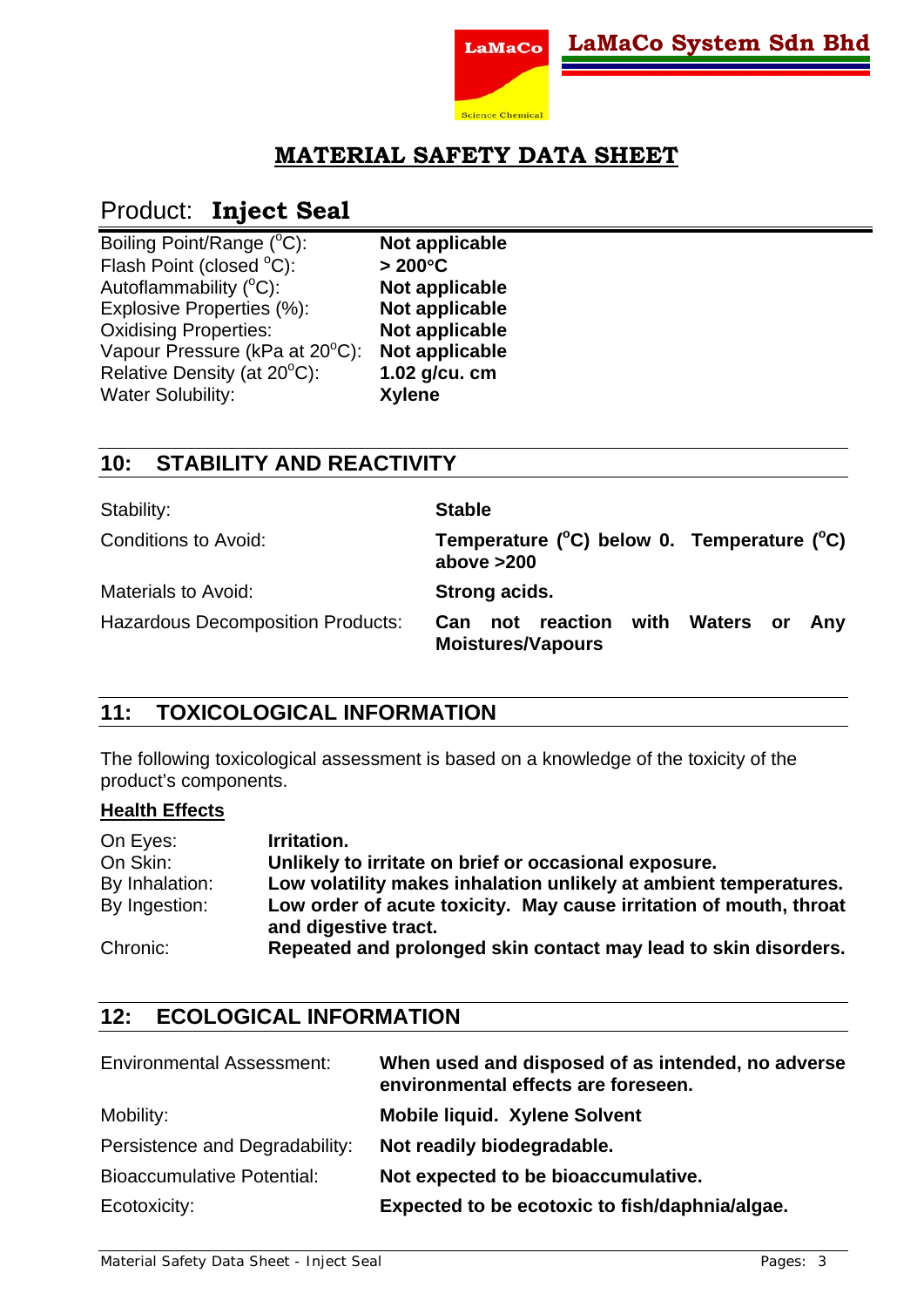

# Product: **Inject Seal**

| Boiling Point/Range (°C):     |
|-------------------------------|
| Flash Point (closed °C):      |
| Autoflammability (°C):        |
| Explosive Properties (%):     |
| <b>Oxidising Properties:</b>  |
| Vapour Pressure (kPa at 20°C) |
| Relative Density (at 20°C):   |
| <b>Water Solubility:</b>      |

C): **Not applicable**  C): **> 200**°**C**  C): **Not applicable Not applicable Not applicable** C): **Not applicable**  C): **1.02 g/cu. cm**  Water Solubility: **Xylene** 

### **10: STABILITY AND REACTIVITY**

| Stability:                               | <b>Stable</b>                                                                    |
|------------------------------------------|----------------------------------------------------------------------------------|
| Conditions to Avoid:                     | Temperature ( $^{\circ}$ C) below 0. Temperature ( $^{\circ}$ C)<br>above $>200$ |
| Materials to Avoid:                      | Strong acids.                                                                    |
| <b>Hazardous Decomposition Products:</b> | not reaction with<br>Waters or<br>Can<br>Anv<br><b>Moistures/Vapours</b>         |

### **11: TOXICOLOGICAL INFORMATION**

The following toxicological assessment is based on a knowledge of the toxicity of the product's components.

#### **Health Effects**

| On Eyes:       | Irritation.                                                                                |
|----------------|--------------------------------------------------------------------------------------------|
| On Skin:       | Unlikely to irritate on brief or occasional exposure.                                      |
| By Inhalation: | Low volatility makes inhalation unlikely at ambient temperatures.                          |
| By Ingestion:  | Low order of acute toxicity. May cause irritation of mouth, throat<br>and digestive tract. |
| Chronic:       | Repeated and prolonged skin contact may lead to skin disorders.                            |

### **12: ECOLOGICAL INFORMATION**

| <b>Environmental Assessment:</b>  | When used and disposed of as intended, no adverse<br>environmental effects are foreseen. |
|-----------------------------------|------------------------------------------------------------------------------------------|
| Mobility:                         | <b>Mobile liquid. Xylene Solvent</b>                                                     |
| Persistence and Degradability:    | Not readily biodegradable.                                                               |
| <b>Bioaccumulative Potential:</b> | Not expected to be bioaccumulative.                                                      |
| Ecotoxicity:                      | Expected to be ecotoxic to fish/daphnia/algae.                                           |